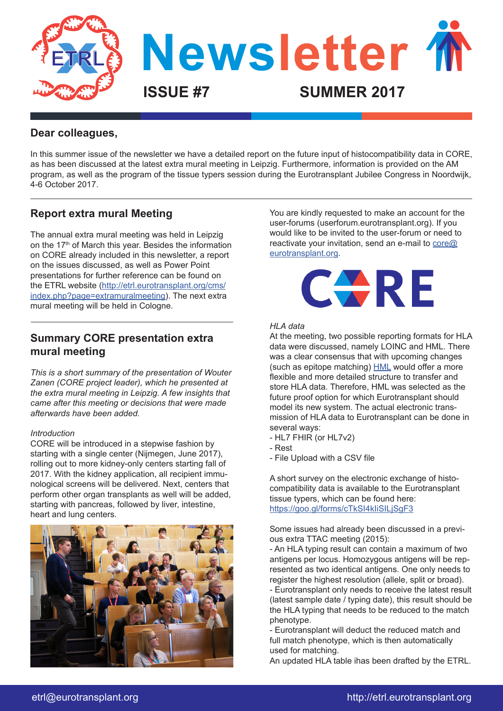

# **Dear colleagues,**

In this summer issue of the newsletter we have a detailed report on the future input of histocompatibility data in CORE, as has been discussed at the latest extra mural meeting in Leipzig. Furthermore, information is provided on the AM program, as well as the program of the tissue typers session during the Eurotransplant Jubilee Congress in Noordwijk, 4-6 October 2017.

# **Report extra mural Meeting**

The annual extra mural meeting was held in Leipzig on the 17<sup>th</sup> of March this year. Besides the information on CORE already included in this newsletter, a report on the issues discussed, as well as Power Point presentations for further reference can be found on the ETRL website ([http://etrl.eurotransplant.org/cms/](http://etrl.eurotransplant.org/cms/index.php?page=extramuralmeeting) [index.php?page=extramuralmeeting\)](http://etrl.eurotransplant.org/cms/index.php?page=extramuralmeeting). The next extra mural meeting will be held in Cologne.

# **Summary CORE presentation extra mural meeting**

*This is a short summary of the presentation of Wouter Zanen (CORE project leader), which he presented at the extra mural meeting in Leipzig. A few insights that came after this meeting or decisions that were made afterwards have been added.*

### *Introduction*

CORE will be introduced in a stepwise fashion by starting with a single center (Nijmegen, June 2017), rolling out to more kidney-only centers starting fall of 2017. With the kidney application, all recipient immunological screens will be delivered. Next, centers that perform other organ transplants as well will be added, starting with pancreas, followed by liver, intestine, heart and lung centers.



You are kindly requested to make an account for the user-forums (userforum.eurotransplant.org). If you would like to be invited to the user-forum or need to reactivate your invitation, send an e-mail to  $\overline{\text{core}\textcircled{a}}$ [eurotransplant.org](mailto:core@eurotransplant.org).



#### *HLA data*

At the meeting, two possible reporting formats for HLA data were discussed, namely LOINC and HML. There was a clear consensus that with upcoming changes (such as epitope matching) [HML](https://www.ncbi.nlm.nih.gov/pmc/articles/PMC4674307/) would offer a more flexible and more detailed structure to transfer and store HLA data. Therefore, HML was selected as the future proof option for which Eurotransplant should model its new system. The actual electronic transmission of HLA data to Eurotransplant can be done in several ways:

- HL7 FHIR (or HL7v2)
- Rest
- File Upload with a CSV file

A short survey on the electronic exchange of histocompatibility data is available to the Eurotransplant tissue typers, which can be found here: <https://goo.gl/forms/cTkSI4kIiSILjSgF3>

Some issues had already been discussed in a previous extra TTAC meeting (2015):

- An HLA typing result can contain a maximum of two antigens per locus. Homozygous antigens will be represented as two identical antigens. One only needs to register the highest resolution (allele, split or broad).

- Eurotransplant only needs to receive the latest result (latest sample date / typing date), this result should be the HLA typing that needs to be reduced to the match phenotype.

- Eurotransplant will deduct the reduced match and full match phenotype, which is then automatically used for matching.

An updated HLA table ihas been drafted by the ETRL.